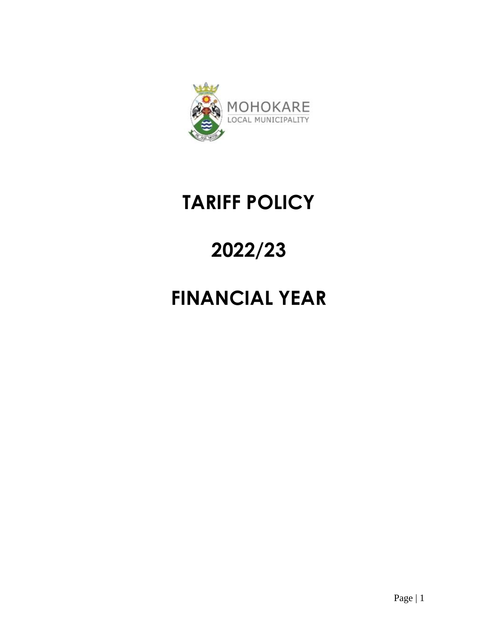

# **TARIFF POLICY**

# **2022/23**

# **FINANCIAL YEAR**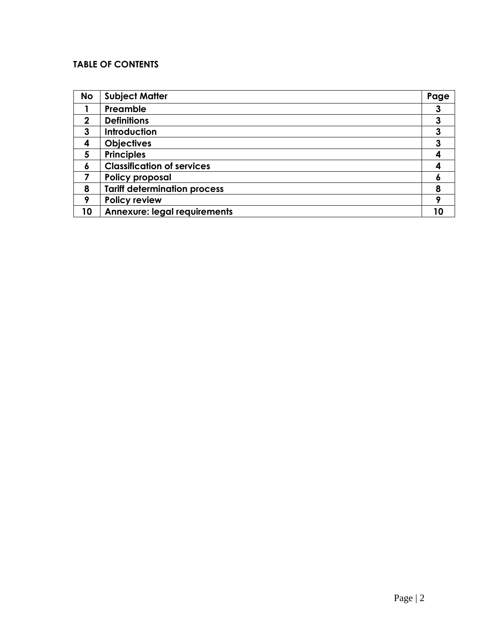# **TABLE OF CONTENTS**

| <b>No</b>   | <b>Subject Matter</b>               | Page |
|-------------|-------------------------------------|------|
|             | Preamble                            | 3    |
| $\mathbf 2$ | <b>Definitions</b>                  | 3    |
| 3           | <b>Introduction</b>                 | 3    |
| 4           | <b>Objectives</b>                   | 3    |
| 5           | <b>Principles</b>                   |      |
| 6           | <b>Classification of services</b>   | 4    |
|             | <b>Policy proposal</b>              | O    |
| 8           | <b>Tariff determination process</b> | 8    |
| 9           | <b>Policy review</b>                | О    |
| 10          | <b>Annexure: legal requirements</b> |      |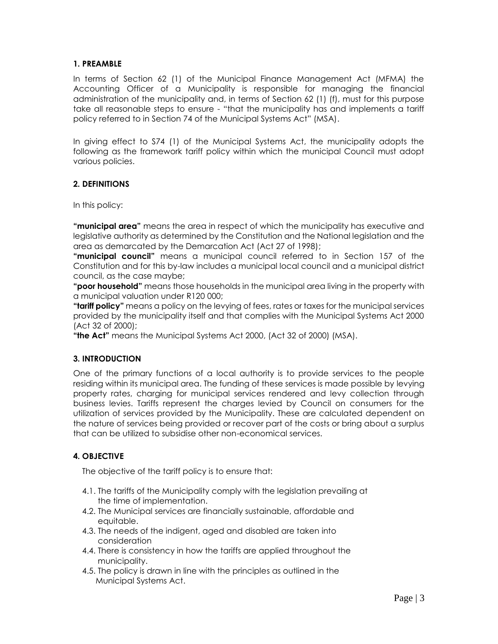#### **1. PREAMBLE**

In terms of Section 62 (1) of the Municipal Finance Management Act (MFMA) the Accounting Officer of a Municipality is responsible for managing the financial administration of the municipality and, in terms of Section 62 (1) (f), must for this purpose take all reasonable steps to ensure - "that the municipality has and implements a tariff policy referred to in Section 74 of the Municipal Systems Act" (MSA).

In giving effect to S74 (1) of the Municipal Systems Act, the municipality adopts the following as the framework tariff policy within which the municipal Council must adopt various policies.

# **2. DEFINITIONS**

In this policy:

**"municipal area"** means the area in respect of which the municipality has executive and legislative authority as determined by the Constitution and the National legislation and the area as demarcated by the Demarcation Act (Act 27 of 1998);

**"municipal council"** means a municipal council referred to in Section 157 of the Constitution and for this by-law includes a municipal local council and a municipal district council, as the case maybe;

**"poor household"** means those households in the municipal area living in the property with a municipal valuation under R120 000;

**"tariff policy"** means a policy on the levying of fees, rates or taxes for the municipal services provided by the municipality itself and that complies with the Municipal Systems Act 2000 (Act 32 of 2000);

**"the Act"** means the Municipal Systems Act 2000, (Act 32 of 2000) (MSA).

#### **3. INTRODUCTION**

One of the primary functions of a local authority is to provide services to the people residing within its municipal area. The funding of these services is made possible by levying property rates, charging for municipal services rendered and levy collection through business levies. Tariffs represent the charges levied by Council on consumers for the utilization of services provided by the Municipality. These are calculated dependent on the nature of services being provided or recover part of the costs or bring about a surplus that can be utilized to subsidise other non-economical services.

# **4. OBJECTIVE**

The objective of the tariff policy is to ensure that:

- 4.1. The tariffs of the Municipality comply with the legislation prevailing at the time of implementation.
- 4.2. The Municipal services are financially sustainable, affordable and equitable.
- 4.3. The needs of the indigent, aged and disabled are taken into consideration
- 4.4. There is consistency in how the tariffs are applied throughout the municipality.
- 4.5. The policy is drawn in line with the principles as outlined in the Municipal Systems Act.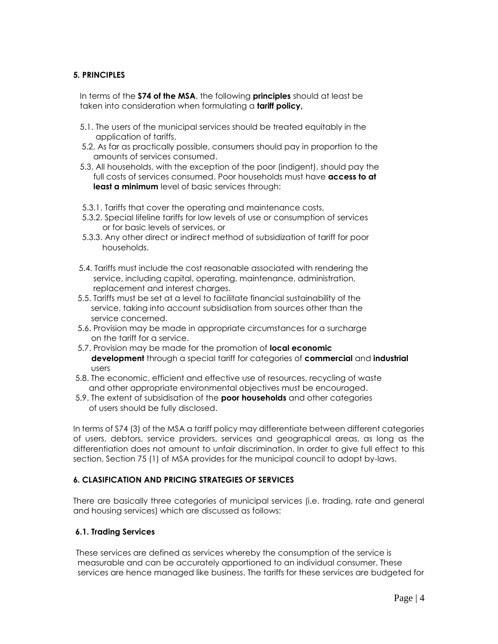# **5. PRINCIPLES**

 In terms of the **S74 of the MSA**, the following **principles** should at least be taken into consideration when formulating a **tariff policy,**

- 5.1. The users of the municipal services should be treated equitably in the application of tariffs.
- 5.2. As far as practically possible, consumers should pay in proportion to the amounts of services consumed.
- 5.3. All households, with the exception of the poor (indigent), should pay the full costs of services consumed. Poor households must have **access to at least a minimum** level of basic services through:
- 5.3.1. Tariffs that cover the operating and maintenance costs,
- 5.3.2. Special lifeline tariffs for low levels of use or consumption of services or for basic levels of services, or
- 5.3.3. Any other direct or indirect method of subsidization of tariff for poor households.
- 5.4. Tariffs must include the cost reasonable associated with rendering the service, including capital, operating, maintenance, administration, replacement and interest charges.
- 5.5. Tariffs must be set at a level to facilitate financial sustainability of the service, taking into account subsidisation from sources other than the service concerned.
- 5.6. Provision may be made in appropriate circumstances for a surcharge on the tariff for a service.
- 5.7. Provision may be made for the promotion of **local economic development** through a special tariff for categories of **commercial** and **industrial** users
- 5.8. The economic, efficient and effective use of resources, recycling of waste and other appropriate environmental objectives must be encouraged.
- 5.9. The extent of subsidisation of the **poor households** and other categories of users should be fully disclosed.

In terms of S74 (3) of the MSA a tariff policy may differentiate between different categories of users, debtors, service providers, services and geographical areas, as long as the differentiation does not amount to unfair discrimination. In order to give full effect to this section, Section 75 (1) of MSA provides for the municipal council to adopt by-laws.

#### **6. CLASIFICATION AND PRICING STRATEGIES OF SERVICES**

There are basically three categories of municipal services (i.e. trading, rate and general and housing services) which are discussed as follows:

#### **6.1. Trading Services**

These services are defined as services whereby the consumption of the service is measurable and can be accurately apportioned to an individual consumer. These services are hence managed like business. The tariffs for these services are budgeted for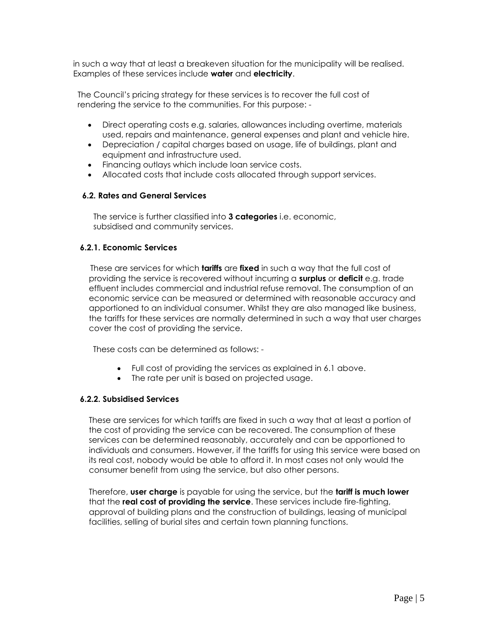in such a way that at least a breakeven situation for the municipality will be realised. Examples of these services include **water** and **electricity**.

 The Council's pricing strategy for these services is to recover the full cost of rendering the service to the communities. For this purpose: -

- Direct operating costs e.g. salaries, allowances including overtime, materials used, repairs and maintenance, general expenses and plant and vehicle hire.
- Depreciation / capital charges based on usage, life of buildings, plant and equipment and infrastructure used.
- Financing outlays which include loan service costs.
- Allocated costs that include costs allocated through support services.

#### **6.2. Rates and General Services**

 The service is further classified into **3 categories** i.e. economic, subsidised and community services.

#### **6.2.1. Economic Services**

 These are services for which **tariffs** are **fixed** in such a way that the full cost of providing the service is recovered without incurring a **surplus** or **deficit** e.g. trade effluent includes commercial and industrial refuse removal. The consumption of an economic service can be measured or determined with reasonable accuracy and apportioned to an individual consumer. Whilst they are also managed like business, the tariffs for these services are normally determined in such a way that user charges cover the cost of providing the service.

These costs can be determined as follows: -

- Full cost of providing the services as explained in 6.1 above.
- The rate per unit is based on projected usage.

#### **6.2.2. Subsidised Services**

 These are services for which tariffs are fixed in such a way that at least a portion of the cost of providing the service can be recovered. The consumption of these services can be determined reasonably, accurately and can be apportioned to individuals and consumers. However, if the tariffs for using this service were based on its real cost, nobody would be able to afford it. In most cases not only would the consumer benefit from using the service, but also other persons.

 Therefore, **user charge** is payable for using the service, but the **tariff is much lower** that the **real cost of providing the service**. These services include fire-fighting, approval of building plans and the construction of buildings, leasing of municipal facilities, selling of burial sites and certain town planning functions.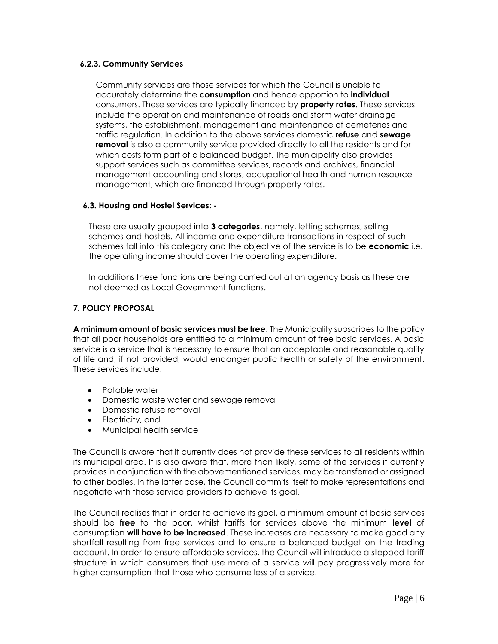#### **6.2.3. Community Services**

 Community services are those services for which the Council is unable to accurately determine the **consumption** and hence apportion to **individual** consumers. These services are typically financed by **property rates**. These services include the operation and maintenance of roads and storm water drainage systems, the establishment, management and maintenance of cemeteries and traffic regulation. In addition to the above services domestic **refuse** and **sewage removal** is also a community service provided directly to all the residents and for which costs form part of a balanced budget. The municipality also provides support services such as committee services, records and archives, financial management accounting and stores, occupational health and human resource management, which are financed through property rates.

# **6.3. Housing and Hostel Services: -**

 These are usually grouped into **3 categories**, namely, letting schemes, selling schemes and hostels. All income and expenditure transactions in respect of such schemes fall into this category and the objective of the service is to be **economic** i.e. the operating income should cover the operating expenditure.

 In additions these functions are being carried out at an agency basis as these are not deemed as Local Government functions.

# **7. POLICY PROPOSAL**

**A minimum amount of basic services must be free**. The Municipality subscribes to the policy that all poor households are entitled to a minimum amount of free basic services. A basic service is a service that is necessary to ensure that an acceptable and reasonable quality of life and, if not provided, would endanger public health or safety of the environment. These services include:

- Potable water
- Domestic waste water and sewage removal
- Domestic refuse removal
- Electricity, and
- Municipal health service

The Council is aware that it currently does not provide these services to all residents within its municipal area. It is also aware that, more than likely, some of the services it currently provides in conjunction with the abovementioned services, may be transferred or assigned to other bodies. In the latter case, the Council commits itself to make representations and negotiate with those service providers to achieve its goal.

The Council realises that in order to achieve its goal, a minimum amount of basic services should be **free** to the poor, whilst tariffs for services above the minimum **level** of consumption **will have to be increased**. These increases are necessary to make good any shortfall resulting from free services and to ensure a balanced budget on the trading account. In order to ensure affordable services, the Council will introduce a stepped tariff structure in which consumers that use more of a service will pay progressively more for higher consumption that those who consume less of a service.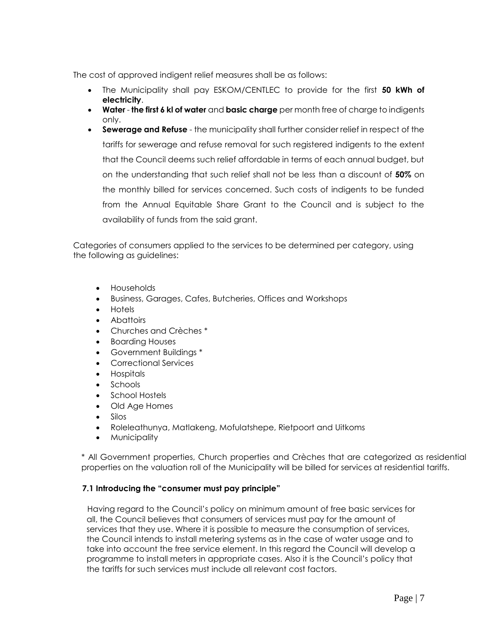The cost of approved indigent relief measures shall be as follows:

- The Municipality shall pay ESKOM/CENTLEC to provide for the first **50 kWh of electricity**.
- **Water the first 6 kl of water** and **basic charge** per month free of charge to indigents only.
- **Sewerage and Refuse**  the municipality shall further consider relief in respect of the tariffs for sewerage and refuse removal for such registered indigents to the extent that the Council deems such relief affordable in terms of each annual budget, but on the understanding that such relief shall not be less than a discount of **50%** on the monthly billed for services concerned. Such costs of indigents to be funded from the Annual Equitable Share Grant to the Council and is subject to the availability of funds from the said grant.

Categories of consumers applied to the services to be determined per category, using the following as guidelines:

- Households
- Business, Garages, Cafes, Butcheries, Offices and Workshops
- Hotels
- Abattoirs
- Churches and Crèches \*
- Boarding Houses
- Government Buildings \*
- Correctional Services
- Hospitals
- Schools
- School Hostels
- Old Age Homes
- Silos
- Roleleathunya, Matlakeng, Mofulatshepe, Rietpoort and Uitkoms
- **Municipality**

\* All Government properties, Church properties and Crèches that are categorized as residential properties on the valuation roll of the Municipality will be billed for services at residential tariffs.

#### **7.1 Introducing the "consumer must pay principle"**

 Having regard to the Council's policy on minimum amount of free basic services for all, the Council believes that consumers of services must pay for the amount of services that they use. Where it is possible to measure the consumption of services, the Council intends to install metering systems as in the case of water usage and to take into account the free service element. In this regard the Council will develop a programme to install meters in appropriate cases. Also it is the Council's policy that the tariffs for such services must include all relevant cost factors.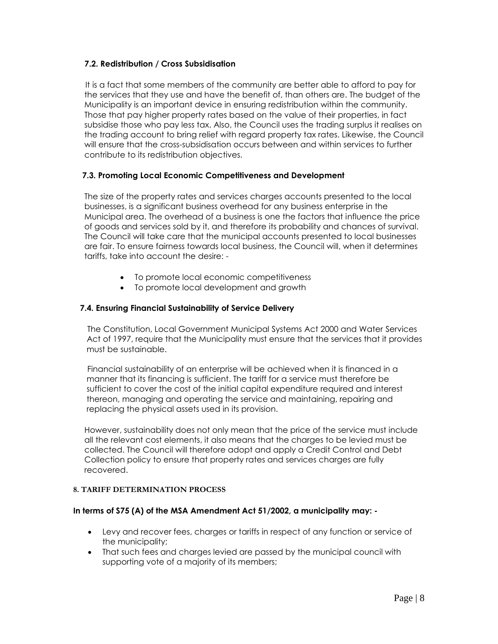# **7.2. Redistribution / Cross Subsidisation**

 It is a fact that some members of the community are better able to afford to pay for the services that they use and have the benefit of, than others are. The budget of the Municipality is an important device in ensuring redistribution within the community. Those that pay higher property rates based on the value of their properties, in fact subsidise those who pay less tax. Also, the Council uses the trading surplus it realises on the trading account to bring relief with regard property tax rates. Likewise, the Council will ensure that the cross-subsidisation occurs between and within services to further contribute to its redistribution objectives.

# **7.3. Promoting Local Economic Competitiveness and Development**

 The size of the property rates and services charges accounts presented to the local businesses, is a significant business overhead for any business enterprise in the Municipal area. The overhead of a business is one the factors that influence the price of goods and services sold by it, and therefore its probability and chances of survival. The Council will take care that the municipal accounts presented to local businesses are fair. To ensure fairness towards local business, the Council will, when it determines tariffs, take into account the desire: -

- To promote local economic competitiveness
- To promote local development and growth

# **7.4. Ensuring Financial Sustainability of Service Delivery**

 The Constitution, Local Government Municipal Systems Act 2000 and Water Services Act of 1997, require that the Municipality must ensure that the services that it provides must be sustainable.

 Financial sustainability of an enterprise will be achieved when it is financed in a manner that its financing is sufficient. The tariff for a service must therefore be sufficient to cover the cost of the initial capital expenditure required and interest thereon, managing and operating the service and maintaining, repairing and replacing the physical assets used in its provision.

 However, sustainability does not only mean that the price of the service must include all the relevant cost elements, it also means that the charges to be levied must be collected. The Council will therefore adopt and apply a Credit Control and Debt Collection policy to ensure that property rates and services charges are fully recovered.

#### **8. TARIFF DETERMINATION PROCESS**

#### **In terms of S75 (A) of the MSA Amendment Act 51/2002, a municipality may: -**

- Levy and recover fees, charges or tariffs in respect of any function or service of the municipality;
- That such fees and charges levied are passed by the municipal council with supporting vote of a majority of its members;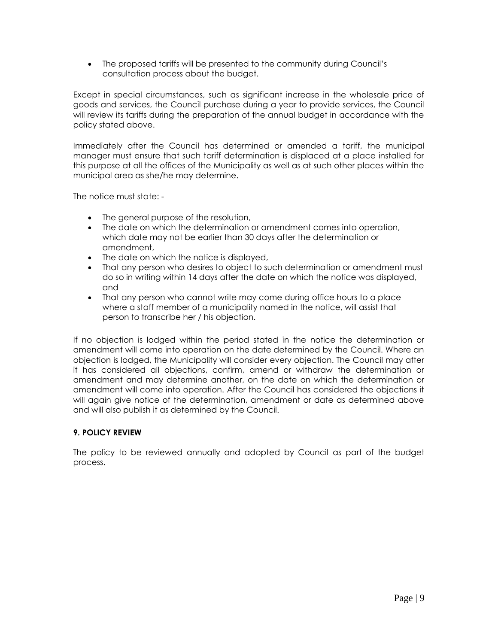The proposed tariffs will be presented to the community during Council's consultation process about the budget.

Except in special circumstances, such as significant increase in the wholesale price of goods and services, the Council purchase during a year to provide services, the Council will review its tariffs during the preparation of the annual budget in accordance with the policy stated above.

Immediately after the Council has determined or amended a tariff, the municipal manager must ensure that such tariff determination is displaced at a place installed for this purpose at all the offices of the Municipality as well as at such other places within the municipal area as she/he may determine.

The notice must state: -

- The general purpose of the resolution,
- The date on which the determination or amendment comes into operation, which date may not be earlier than 30 days after the determination or amendment,
- The date on which the notice is displayed,
- That any person who desires to object to such determination or amendment must do so in writing within 14 days after the date on which the notice was displayed, and
- That any person who cannot write may come during office hours to a place where a staff member of a municipality named in the notice, will assist that person to transcribe her / his objection.

If no objection is lodged within the period stated in the notice the determination or amendment will come into operation on the date determined by the Council. Where an objection is lodged, the Municipality will consider every objection. The Council may after it has considered all objections, confirm, amend or withdraw the determination or amendment and may determine another, on the date on which the determination or amendment will come into operation. After the Council has considered the objections it will again give notice of the determination, amendment or date as determined above and will also publish it as determined by the Council.

#### **9. POLICY REVIEW**

The policy to be reviewed annually and adopted by Council as part of the budget process.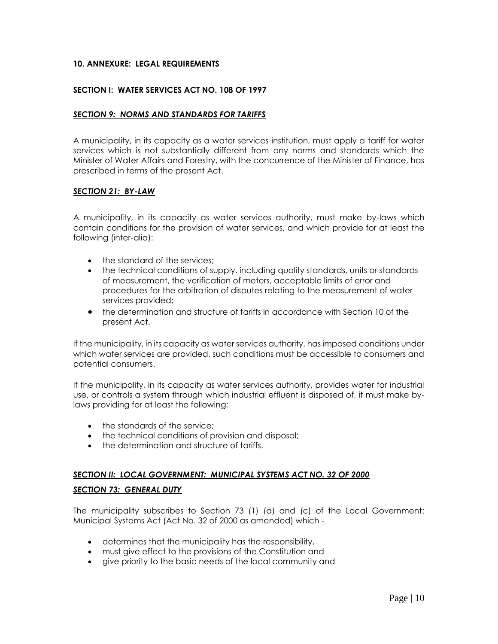#### **10. ANNEXURE: LEGAL REQUIREMENTS**

#### **SECTION I: WATER SERVICES ACT NO. 108 OF 1997**

#### *SECTION 9: NORMS AND STANDARDS FOR TARIFFS*

A municipality, in its capacity as a water services institution, must apply a tariff for water services which is not substantially different from any norms and standards which the Minister of Water Affairs and Forestry, with the concurrence of the Minister of Finance, has prescribed in terms of the present Act.

#### *SECTION 21: BY-LAW*

A municipality, in its capacity as water services authority, must make by-laws which contain conditions for the provision of water services, and which provide for at least the following (inter-alia):

- the standard of the services:
- the technical conditions of supply, including quality standards, units or standards of measurement, the verification of meters, acceptable limits of error and procedures for the arbitration of disputes relating to the measurement of water services provided;
- the determination and structure of tariffs in accordance with Section 10 of the present Act.

If the municipality, in its capacity as water services authority, has imposed conditions under which water services are provided, such conditions must be accessible to consumers and potential consumers.

If the municipality, in its capacity as water services authority, provides water for industrial use, or controls a system through which industrial effluent is disposed of, it must make bylaws providing for at least the following:

- the standards of the service;
- the technical conditions of provision and disposal:
- the determination and structure of tariffs.

# *SECTION II: LOCAL GOVERNMENT: MUNICIPAL SYSTEMS ACT NO. 32 OF 2000*

#### *SECTION 73: GENERAL DUTY*

The municipality subscribes to Section 73 (1) (a) and (c) of the Local Government: Municipal Systems Act (Act No. 32 of 2000 as amended) which -

- determines that the municipality has the responsibility,
- must give effect to the provisions of the Constitution and
- give priority to the basic needs of the local community and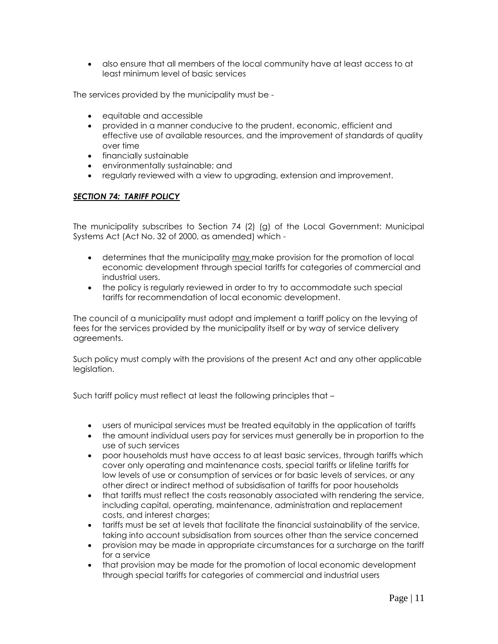also ensure that all members of the local community have at least access to at least minimum level of basic services

The services provided by the municipality must be -

- equitable and accessible
- provided in a manner conducive to the prudent, economic, efficient and effective use of available resources, and the improvement of standards of quality over time
- financially sustainable
- environmentally sustainable; and
- regularly reviewed with a view to upgrading, extension and improvement.

# *SECTION 74: TARIFF POLICY*

The municipality subscribes to Section 74 (2) (g) of the Local Government: Municipal Systems Act (Act No. 32 of 2000, as amended) which -

- determines that the municipality may make provision for the promotion of local economic development through special tariffs for categories of commercial and industrial users.
- the policy is regularly reviewed in order to try to accommodate such special tariffs for recommendation of local economic development.

The council of a municipality must adopt and implement a tariff policy on the levying of fees for the services provided by the municipality itself or by way of service delivery agreements.

Such policy must comply with the provisions of the present Act and any other applicable legislation.

Such tariff policy must reflect at least the following principles that –

- users of municipal services must be treated equitably in the application of tariffs
- the amount individual users pay for services must generally be in proportion to the use of such services
- poor households must have access to at least basic services, through tariffs which cover only operating and maintenance costs, special tariffs or lifeline tariffs for low levels of use or consumption of services or for basic levels of services, or any other direct or indirect method of subsidisation of tariffs for poor households
- that tariffs must reflect the costs reasonably associated with rendering the service, including capital, operating, maintenance, administration and replacement costs, and interest charges;
- tariffs must be set at levels that facilitate the financial sustainability of the service, taking into account subsidisation from sources other than the service concerned
- provision may be made in appropriate circumstances for a surcharge on the tariff for a service
- that provision may be made for the promotion of local economic development through special tariffs for categories of commercial and industrial users